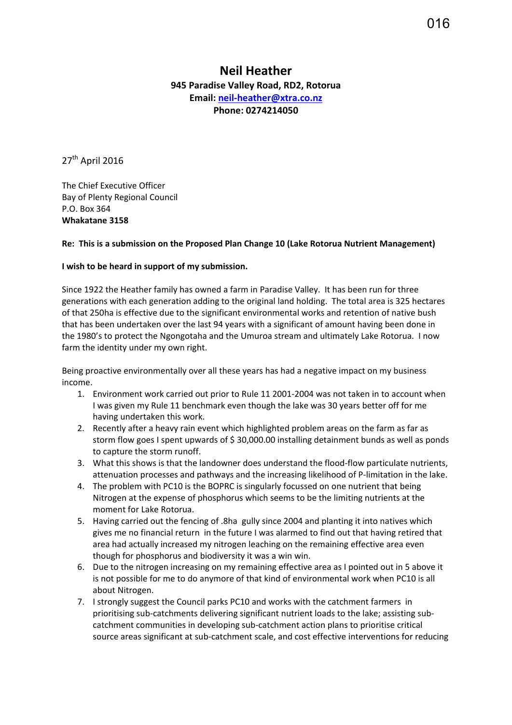## **Neil Heather 945 Paradise Valley Road, RD2, Rotorua Email: [neil-heather@xtra.co.nz](mailto:neil-heather@xtra.co.nz) Phone: 0274214050**

27<sup>th</sup> April 2016

The Chief Executive Officer Bay of Plenty Regional Council P.O. Box 364 **Whakatane 3158**

## **Re: This is a submission on the Proposed Plan Change 10 (Lake Rotorua Nutrient Management)**

## **I wish to be heard in support of my submission.**

Since 1922 the Heather family has owned a farm in Paradise Valley. It has been run for three generations with each generation adding to the original land holding. The total area is 325 hectares of that 250ha is effective due to the significant environmental works and retention of native bush that has been undertaken over the last 94 years with a significant of amount having been done in the 1980's to protect the Ngongotaha and the Umuroa stream and ultimately Lake Rotorua. I now farm the identity under my own right.

Being proactive environmentally over all these years has had a negative impact on my business income.

- 1. Environment work carried out prior to Rule 11 2001-2004 was not taken in to account when I was given my Rule 11 benchmark even though the lake was 30 years better off for me having undertaken this work.
- 2. Recently after a heavy rain event which highlighted problem areas on the farm as far as storm flow goes I spent upwards of \$ 30,000.00 installing detainment bunds as well as ponds to capture the storm runoff.
- 3. What this shows is that the landowner does understand the flood-flow particulate nutrients, attenuation processes and pathways and the increasing likelihood of P-limitation in the lake.
- 4. The problem with PC10 is the BOPRC is singularly focussed on one nutrient that being Nitrogen at the expense of phosphorus which seems to be the limiting nutrients at the moment for Lake Rotorua.
- 5. Having carried out the fencing of .8ha gully since 2004 and planting it into natives which gives me no financial return in the future I was alarmed to find out that having retired that area had actually increased my nitrogen leaching on the remaining effective area even though for phosphorus and biodiversity it was a win win.
- 6. Due to the nitrogen increasing on my remaining effective area as I pointed out in 5 above it is not possible for me to do anymore of that kind of environmental work when PC10 is all about Nitrogen.
- 7. I strongly suggest the Council parks PC10 and works with the catchment farmers in prioritising sub-catchments delivering significant nutrient loads to the lake; assisting subcatchment communities in developing sub-catchment action plans to prioritise critical source areas significant at sub-catchment scale, and cost effective interventions for reducing